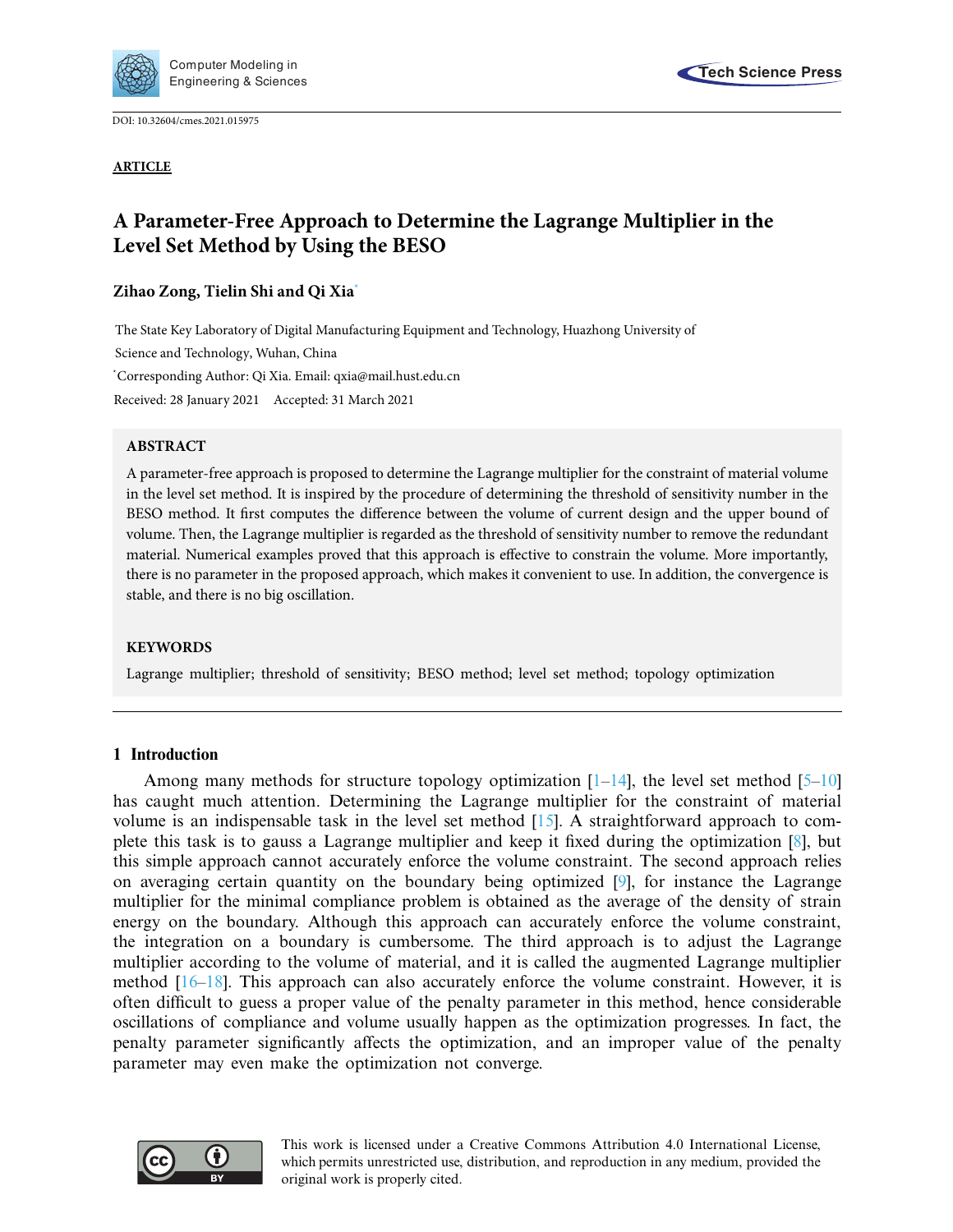

DOI: [10.32604/cmes.2021.015975](http://dx.doi.org/10.32604/cmes.2021.015975)

**ARTICLE**



# **A Parameter-Free Approach to Determine the Lagrange Multiplier in the Level Set Method by Using the BESO**

# **Zihao Zong, Tielin Shi and Qi Xi[a\\*](#page-0-0)**

<span id="page-0-0"></span>The State Key Laboratory of Digital Manufacturing Equipment and Technology, Huazhong University of Science and Technology, Wuhan, China \* Corresponding Author: Qi Xia. Email: qxia@mail.hust.edu.cn Received: 28 January 2021 Accepted: 31 March 2021

## **ABSTRACT**

A parameter-free approach is proposed to determine the Lagrange multiplier for the constraint of material volume in the level set method. It is inspired by the procedure of determining the threshold of sensitivity number in the BESO method. It first computes the difference between the volume of current design and the upper bound of volume. Then, the Lagrange multiplier is regarded as the threshold of sensitivity number to remove the redundant material. Numerical examples proved that this approach is effective to constrain the volume. More importantly, there is no parameter in the proposed approach, which makes it convenient to use. In addition, the convergence is stable, and there is no big oscillation.

## **KEYWORDS**

Lagrange multiplier; threshold of sensitivity; BESO method; level set method; topology optimization

## **1 Introduction**

Among many methods for structure topology optimization  $[1-14]$  $[1-14]$ , the level set method  $[5-10]$  $[5-10]$ has caught much attention. Determining the Lagrange multiplier for the constraint of material volume is an indispensable task in the level set method [\[15\]](#page-11-4). A straightforward approach to complete this task is to gauss a Lagrange multiplier and keep it fixed during the optimization [\[8](#page-11-5)], but this simple approach cannot accurately enforce the volume constraint. The second approach relies on averaging certain quantity on the boundary being optimized [\[9\]](#page-11-6), for instance the Lagrange multiplier for the minimal compliance problem is obtained as the average of the density of strain energy on the boundary. Although this approach can accurately enforce the volume constraint, the integration on a boundary is cumbersome. The third approach is to adjust the Lagrange multiplier according to the volume of material, and it is called the augmented Lagrange multiplier method [\[16](#page-11-7)[–18](#page-11-8)]. This approach can also accurately enforce the volume constraint. However, it is often difficult to guess a proper value of the penalty parameter in this method, hence considerable oscillations of compliance and volume usually happen as the optimization progresses. In fact, the penalty parameter significantly affects the optimization, and an improper value of the penalty parameter may even make the optimization not converge.



This work is licensed under a Creative Commons Attribution 4.0 International License, which permits unrestricted use, distribution, and reproduction in any medium, provided the original work is properly cited.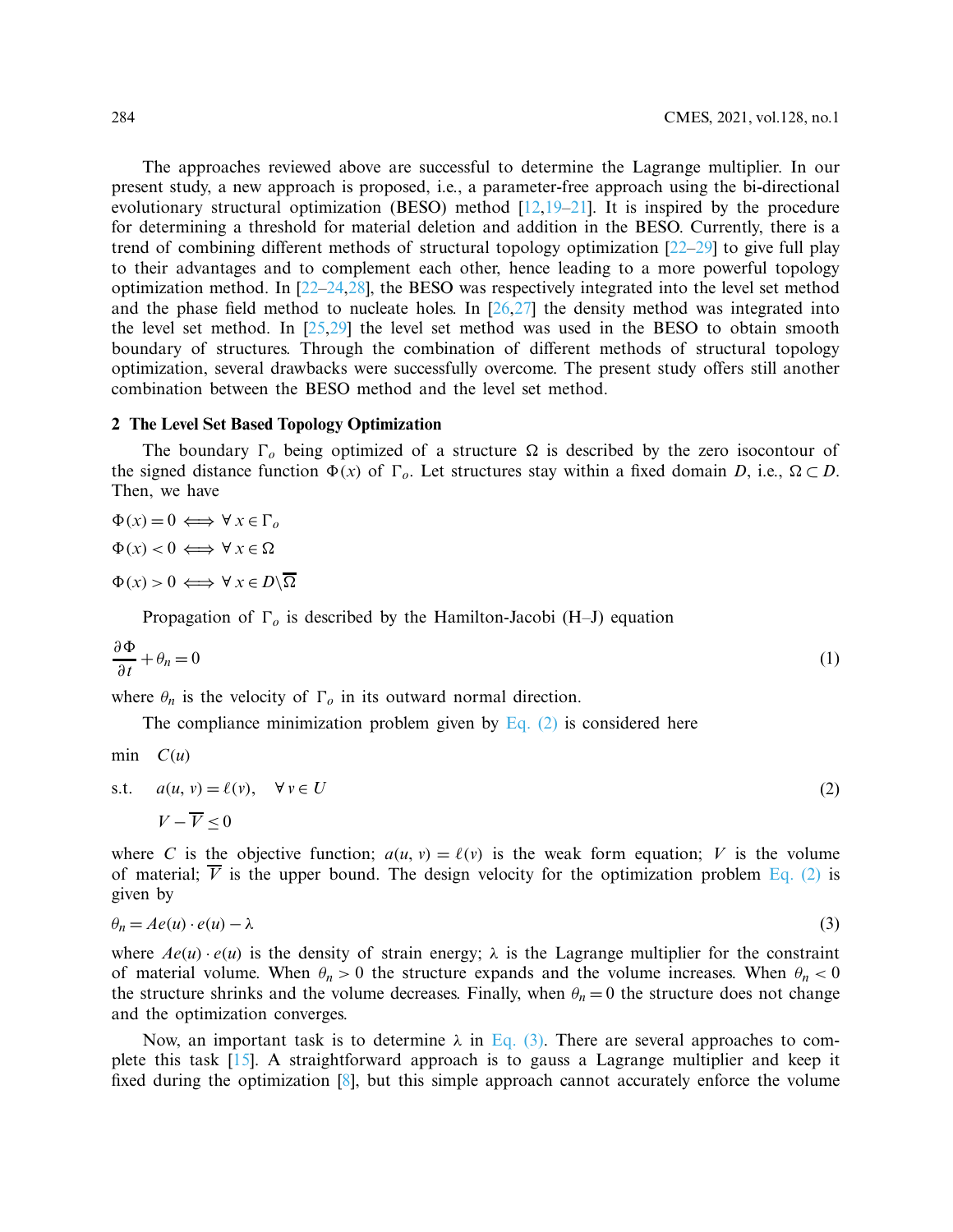The approaches reviewed above are successful to determine the Lagrange multiplier. In our present study, a new approach is proposed, i.e., a parameter-free approach using the bi-directional evolutionary structural optimization (BESO) method  $[12,19-21]$  $[12,19-21]$  $[12,19-21]$ . It is inspired by the procedure for determining a threshold for material deletion and addition in the BESO. Currently, there is a trend of combining different methods of structural topology optimization [\[22](#page-12-1)[–29\]](#page-12-2) to give full play to their advantages and to complement each other, hence leading to a more powerful topology optimization method. In [\[22](#page-12-1)[–24](#page-12-3)[,28\]](#page-12-4), the BESO was respectively integrated into the level set method and the phase field method to nucleate holes. In  $[26,27]$  $[26,27]$  the density method was integrated into the level set method. In  $[25,29]$  $[25,29]$  the level set method was used in the BESO to obtain smooth boundary of structures. Through the combination of different methods of structural topology optimization, several drawbacks were successfully overcome. The present study offers still another combination between the BESO method and the level set method.

### **2 The Level Set Based Topology Optimization**

The boundary  $\Gamma_o$  being optimized of a structure  $\Omega$  is described by the zero isocontour of the signed distance function  $\Phi(x)$  of  $\Gamma_o$ . Let structures stay within a fixed domain *D*, i.e.,  $\Omega \subset D$ . Then, we have

$$
\Phi(x) = 0 \iff \forall x \in \Gamma_o
$$
  

$$
\Phi(x) < 0 \iff \forall x \in \Omega
$$
  

$$
\Phi(x) > 0 \iff \forall x \in D \setminus \overline{\Omega}
$$

Propagation of  $\Gamma_o$  is described by the Hamilton-Jacobi (H–J) equation

$$
\frac{\partial \Phi}{\partial t} + \theta_n = 0 \tag{1}
$$

where  $\theta_n$  is the velocity of  $\Gamma_o$  in its outward normal direction.

<span id="page-1-0"></span>The compliance minimization problem given by Eq.  $(2)$  is considered here

$$
\min \quad C(u)
$$

s.t. 
$$
a(u, v) = \ell(v), \quad \forall v \in U
$$
  

$$
V - \overline{V} < 0
$$
 (2)

where *C* is the objective function;  $a(u, v) = \ell(v)$  is the weak form equation; *V* is the volume of material;  $\overline{V}$  is the upper bound. The design velocity for the optimization problem [Eq. \(2\)](#page-1-0) is given by

<span id="page-1-1"></span>
$$
\theta_n = Ae(u) \cdot e(u) - \lambda \tag{3}
$$

where  $Ae(u) \cdot e(u)$  is the density of strain energy;  $\lambda$  is the Lagrange multiplier for the constraint of material volume. When  $\theta_n > 0$  the structure expands and the volume increases. When  $\theta_n < 0$ the structure shrinks and the volume decreases. Finally, when  $\theta_n = 0$  the structure does not change and the optimization converges.

Now, an important task is to determine  $\lambda$  in [Eq. \(3\).](#page-1-1) There are several approaches to complete this task [\[15\]](#page-11-4). A straightforward approach is to gauss a Lagrange multiplier and keep it fixed during the optimization [\[8](#page-11-5)], but this simple approach cannot accurately enforce the volume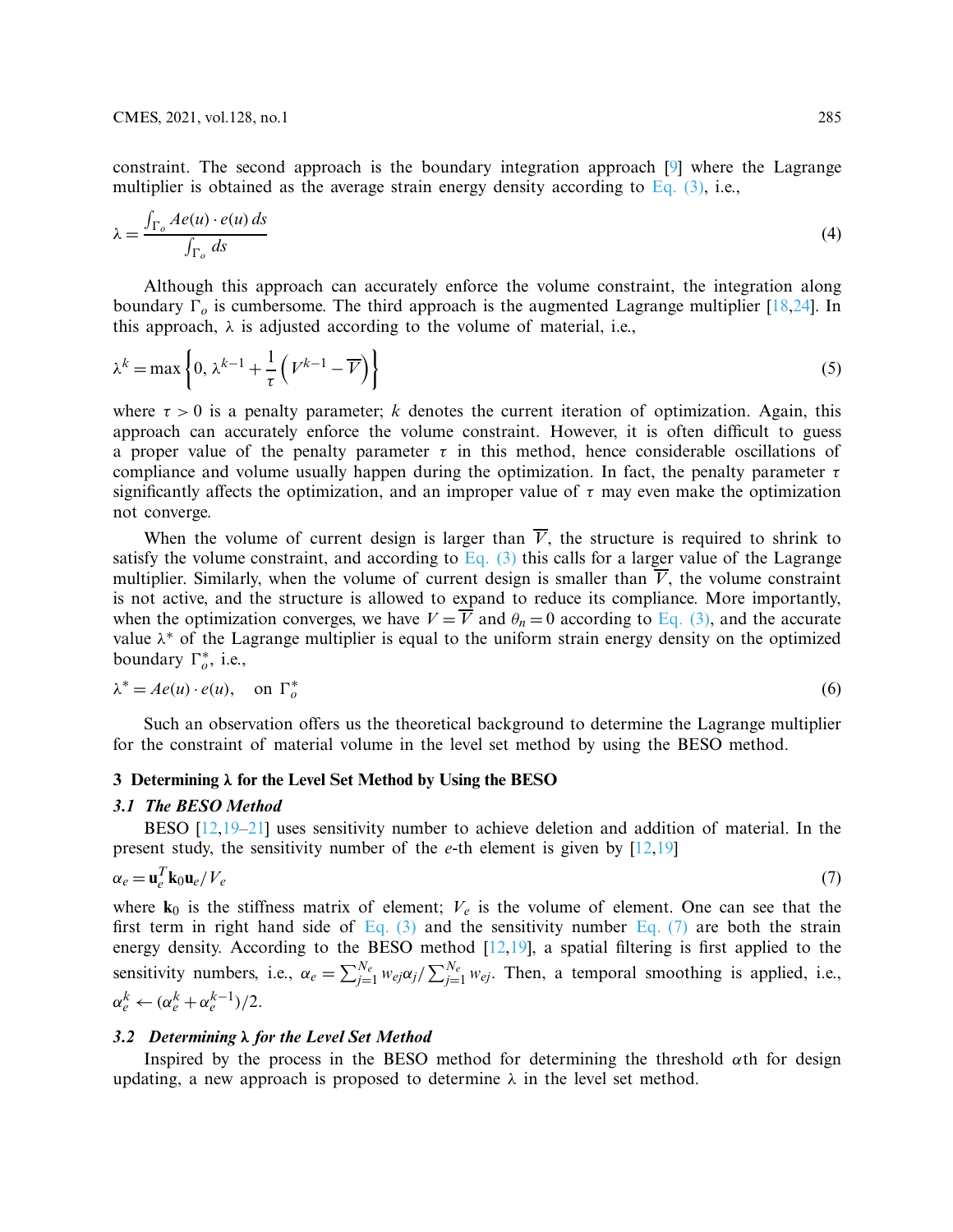constraint. The second approach is the boundary integration approach [\[9\]](#page-11-6) where the Lagrange multiplier is obtained as the average strain energy density according to Eq.  $(3)$ , i.e.,

$$
\lambda = \frac{\int_{\Gamma_o} Ae(u) \cdot e(u) ds}{\int_{\Gamma_o} ds}
$$
\n(4)

Although this approach can accurately enforce the volume constraint, the integration along boundary  $\Gamma_o$  is cumbersome. The third approach is the augmented Lagrange multiplier [\[18](#page-11-8)[,24\]](#page-12-3). In this approach,  $\lambda$  is adjusted according to the volume of material, i.e.,

<span id="page-2-1"></span>
$$
\lambda^{k} = \max\left\{0, \lambda^{k-1} + \frac{1}{\tau}\left(V^{k-1} - \overline{V}\right)\right\}
$$
\n<sup>(5)</sup>

where  $\tau > 0$  is a penalty parameter; *k* denotes the current iteration of optimization. Again, this approach can accurately enforce the volume constraint. However, it is often difficult to guess a proper value of the penalty parameter  $\tau$  in this method, hence considerable oscillations of compliance and volume usually happen during the optimization. In fact, the penalty parameter  $\tau$ significantly affects the optimization, and an improper value of  $\tau$  may even make the optimization not converge.

When the volume of current design is larger than  $\overline{V}$ , the structure is required to shrink to satisfy the volume constraint, and according to Eq.  $(3)$  this calls for a larger value of the Lagrange multiplier. Similarly, when the volume of current design is smaller than  $\overline{V}$ , the volume constraint is not active, and the structure is allowed to expand to reduce its compliance. More importantly, when the optimization converges, we have  $V = \overrightarrow{V}$  and  $\theta_n = 0$  according to [Eq. \(3\),](#page-1-1) and the accurate value  $\lambda^*$  of the Lagrange multiplier is equal to the uniform strain energy density on the optimized boundary  $\Gamma_o^*$ , i.e.,

$$
\lambda^* = Ae(u) \cdot e(u), \quad \text{on } \Gamma_o^* \tag{6}
$$

Such an observation offers us the theoretical background to determine the Lagrange multiplier for the constraint of material volume in the level set method by using the BESO method.

#### **3 Determining** *λ* **for the Level Set Method by Using the BESO**

#### *3.1 The BESO Method*

BESO [\[12](#page-11-9)[,19](#page-11-10)[–21](#page-12-0)] uses sensitivity number to achieve deletion and addition of material. In the present study, the sensitivity number of the *e*-th element is given by [\[12](#page-11-9)[,19\]](#page-11-10)

<span id="page-2-0"></span>
$$
\alpha_e = \mathbf{u}_e^T \mathbf{k}_0 \mathbf{u}_e / V_e \tag{7}
$$

where  $\mathbf{k}_0$  is the stiffness matrix of element;  $V_e$  is the volume of element. One can see that the first term in right hand side of Eq.  $(3)$  and the sensitivity number Eq.  $(7)$  are both the strain energy density. According to the BESO method  $[12,19]$  $[12,19]$ , a spatial filtering is first applied to the sensitivity numbers, i.e.,  $\alpha_e = \sum_{j=1}^{N_e} w_{ej} \alpha_j / \sum_{j=1}^{N_e} w_{ej}$ . Then, a temporal smoothing is applied, i.e.,  $\alpha_e^k \leftarrow (\alpha_e^k + \alpha_e^{k-1})/2.$ 

#### *3.2 Determining λ for the Level Set Method*

Inspired by the process in the BESO method for determining the threshold  $\alpha$ th for design updating, a new approach is proposed to determine  $\lambda$  in the level set method.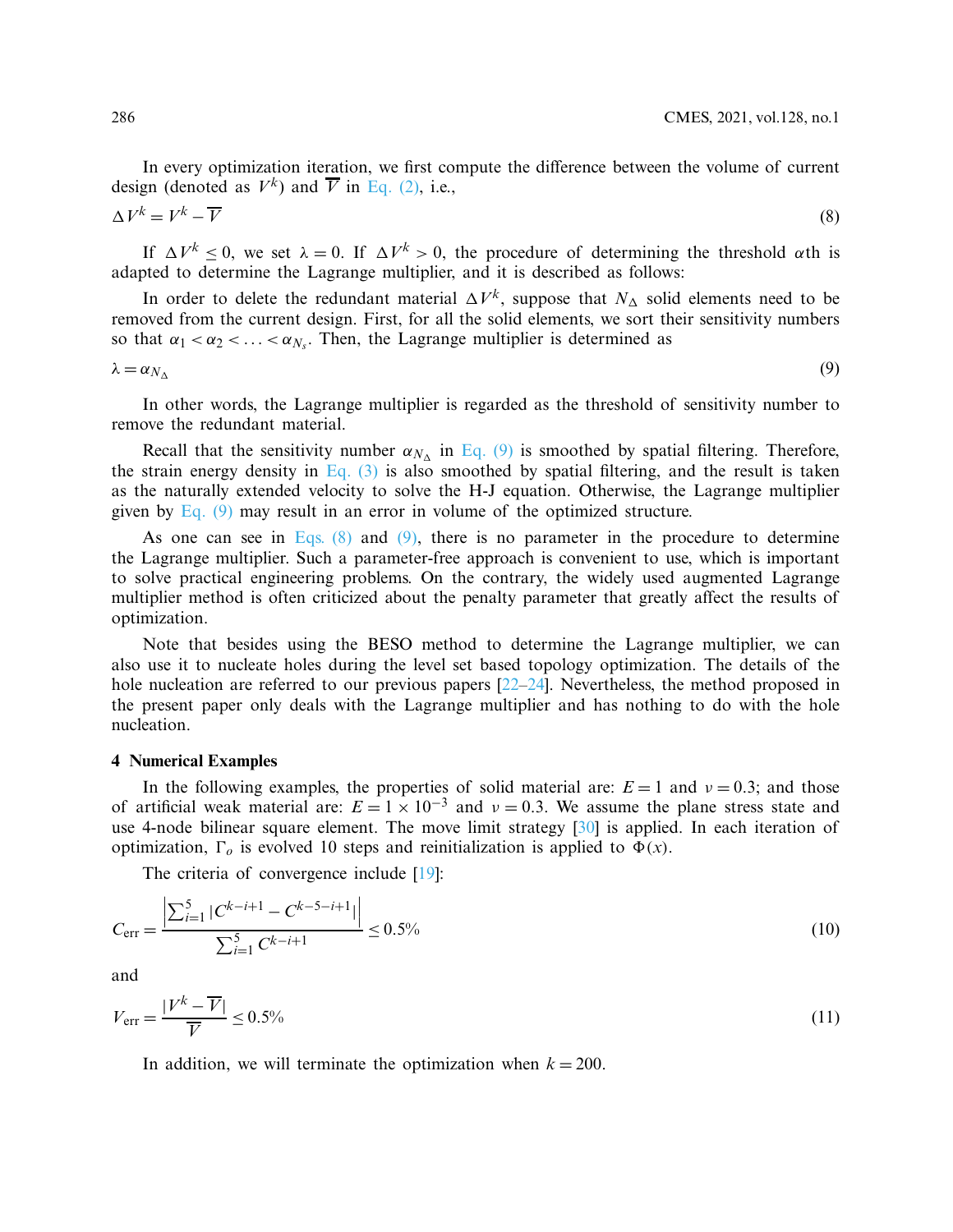<span id="page-3-1"></span>In every optimization iteration, we first compute the difference between the volume of current design (denoted as  $V^k$ ) and  $\overline{V}$  in [Eq. \(2\),](#page-1-0) i.e.,

$$
\Delta V^k = V^k - \overline{V}
$$
\n<sup>(8)</sup>

If  $\Delta V^k \leq 0$ , we set  $\lambda = 0$ . If  $\Delta V^k > 0$ , the procedure of determining the threshold  $\alpha$ th is adapted to determine the Lagrange multiplier, and it is described as follows:

In order to delete the redundant material  $\Delta V^k$ , suppose that  $N_{\Delta}$  solid elements need to be removed from the current design. First, for all the solid elements, we sort their sensitivity numbers so that  $\alpha_1 < \alpha_2 < \ldots < \alpha_{N_s}$ . Then, the Lagrange multiplier is determined as

$$
\lambda = \alpha_{N_{\Delta}} \tag{9}
$$

<span id="page-3-0"></span>

In other words, the Lagrange multiplier is regarded as the threshold of sensitivity number to remove the redundant material.

Recall that the sensitivity number  $\alpha_{N_{\Lambda}}$  in [Eq. \(9\)](#page-3-0) is smoothed by spatial filtering. Therefore, the strain energy density in Eq.  $(3)$  is also smoothed by spatial filtering, and the result is taken as the naturally extended velocity to solve the H-J equation. Otherwise, the Lagrange multiplier given by [Eq. \(9\)](#page-3-0) may result in an error in volume of the optimized structure.

As one can see in Eqs.  $(8)$  and  $(9)$ , there is no parameter in the procedure to determine the Lagrange multiplier. Such a parameter-free approach is convenient to use, which is important to solve practical engineering problems. On the contrary, the widely used augmented Lagrange multiplier method is often criticized about the penalty parameter that greatly affect the results of optimization.

Note that besides using the BESO method to determine the Lagrange multiplier, we can also use it to nucleate holes during the level set based topology optimization. The details of the hole nucleation are referred to our previous papers  $[22-24]$  $[22-24]$ . Nevertheless, the method proposed in the present paper only deals with the Lagrange multiplier and has nothing to do with the hole nucleation.

## **4 Numerical Examples**

In the following examples, the properties of solid material are:  $E = 1$  and  $v = 0.3$ ; and those of artificial weak material are:  $E = 1 \times 10^{-3}$  and  $v = 0.3$ . We assume the plane stress state and use 4-node bilinear square element. The move limit strategy [\[30](#page-12-8)] is applied. In each iteration of optimization,  $\Gamma_o$  is evolved 10 steps and reinitialization is applied to  $\Phi(x)$ .

The criteria of convergence include [\[19\]](#page-11-10):

$$
C_{\text{err}} = \frac{\left| \sum_{i=1}^{5} |C^{k-i+1} - C^{k-5-i+1}| \right|}{\sum_{i=1}^{5} C^{k-i+1}} \le 0.5\%
$$
\n(10)

and

$$
V_{\text{err}} = \frac{|V^k - \overline{V}|}{\overline{V}} \le 0.5\% \tag{11}
$$

In addition, we will terminate the optimization when  $k = 200$ .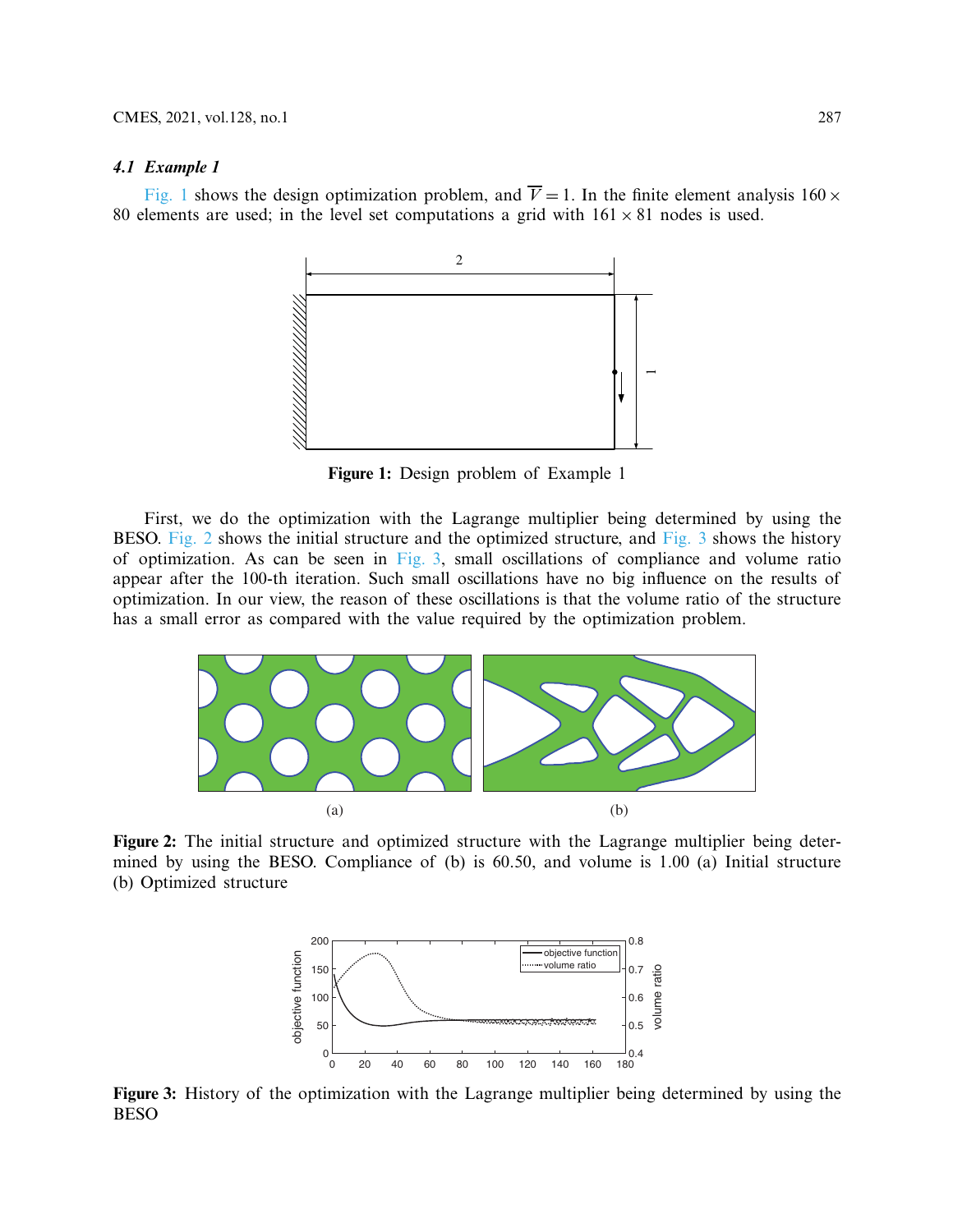#### *4.1 Example 1*

[Fig. 1](#page-4-0) shows the design optimization problem, and  $\overline{V} = 1$ . In the finite element analysis 160  $\times$ 80 elements are used; in the level set computations a grid with  $161 \times 81$  nodes is used.



<span id="page-4-0"></span>**Figure 1:** Design problem of Example 1

First, we do the optimization with the Lagrange multiplier being determined by using the BESO. [Fig. 2](#page-4-1) shows the initial structure and the optimized structure, and [Fig. 3](#page-4-2) shows the history of optimization. As can be seen in  $Fig. 3$ , small oscillations of compliance and volume ratio appear after the 100-th iteration. Such small oscillations have no big influence on the results of optimization. In our view, the reason of these oscillations is that the volume ratio of the structure has a small error as compared with the value required by the optimization problem.



<span id="page-4-1"></span>**Figure 2:** The initial structure and optimized structure with the Lagrange multiplier being determined by using the BESO. Compliance of (b) is 60.50, and volume is 1.00 (a) Initial structure (b) Optimized structure



<span id="page-4-2"></span>**Figure 3:** History of the optimization with the Lagrange multiplier being determined by using the BESO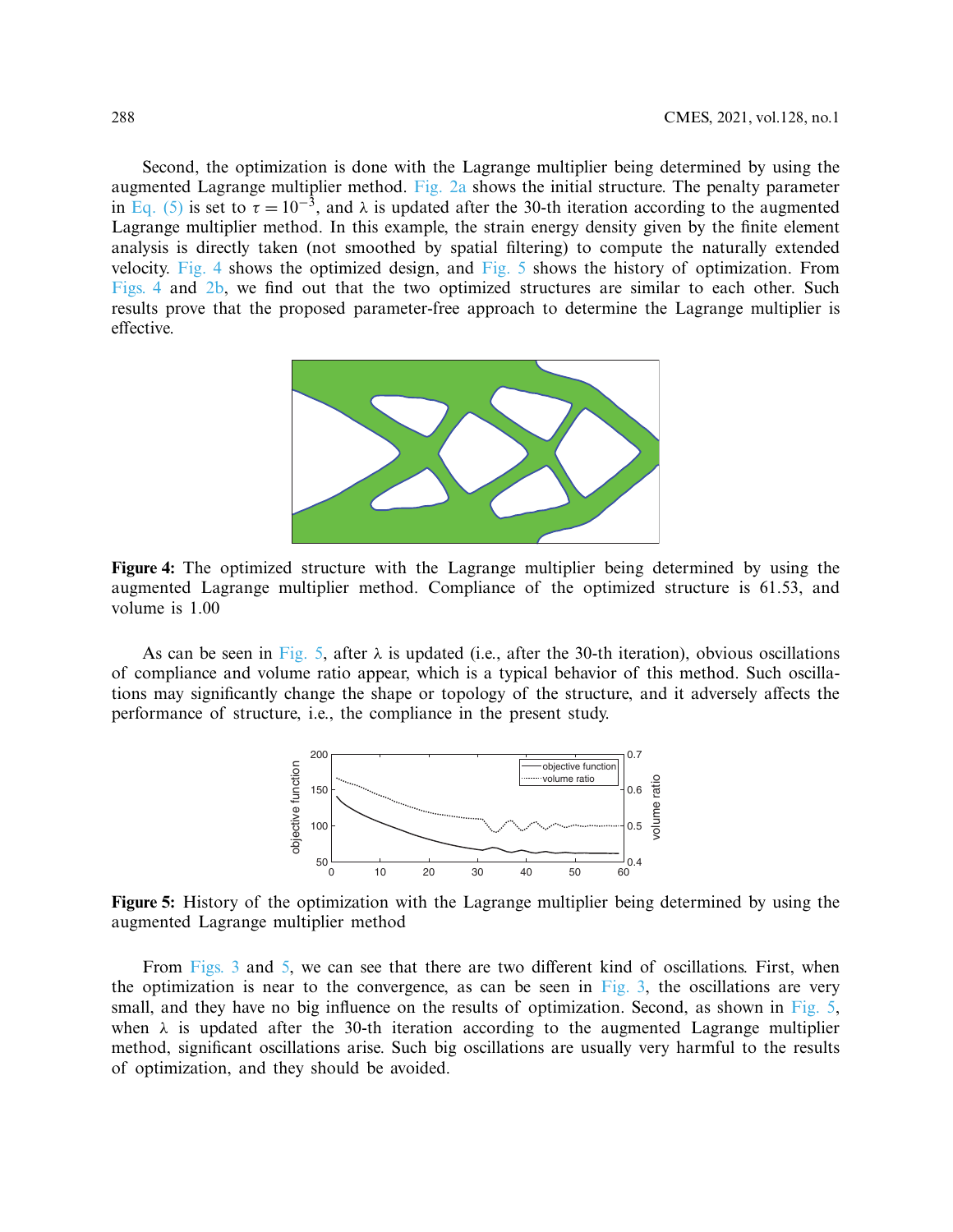Second, the optimization is done with the Lagrange multiplier being determined by using the augmented Lagrange multiplier method. [Fig. 2a](#page-4-1) shows the initial structure. The penalty parameter in [Eq. \(5\)](#page-2-1) is set to  $\tau = 10^{-3}$ , and  $\lambda$  is updated after the 30-th iteration according to the augmented Lagrange multiplier method. In this example, the strain energy density given by the finite element analysis is directly taken (not smoothed by spatial filtering) to compute the naturally extended velocity. [Fig. 4](#page-5-0) shows the optimized design, and [Fig. 5](#page-5-1) shows the history of optimization. From [Figs. 4](#page-5-0) and [2b,](#page-4-1) we find out that the two optimized structures are similar to each other. Such results prove that the proposed parameter-free approach to determine the Lagrange multiplier is effective.



<span id="page-5-0"></span>**Figure 4:** The optimized structure with the Lagrange multiplier being determined by using the augmented Lagrange multiplier method. Compliance of the optimized structure is 61.53, and volume is 1.00

As can be seen in [Fig. 5,](#page-5-1) after  $\lambda$  is updated (i.e., after the 30-th iteration), obvious oscillations of compliance and volume ratio appear, which is a typical behavior of this method. Such oscillations may significantly change the shape or topology of the structure, and it adversely affects the performance of structure, i.e., the compliance in the present study.



<span id="page-5-1"></span>**Figure 5:** History of the optimization with the Lagrange multiplier being determined by using the augmented Lagrange multiplier method

From [Figs. 3](#page-4-2) and [5,](#page-5-1) we can see that there are two different kind of oscillations. First, when the optimization is near to the convergence, as can be seen in  $Fig. 3$ , the oscillations are very small, and they have no big influence on the results of optimization. Second, as shown in [Fig. 5,](#page-5-1) when  $\lambda$  is updated after the 30-th iteration according to the augmented Lagrange multiplier method, significant oscillations arise. Such big oscillations are usually very harmful to the results of optimization, and they should be avoided.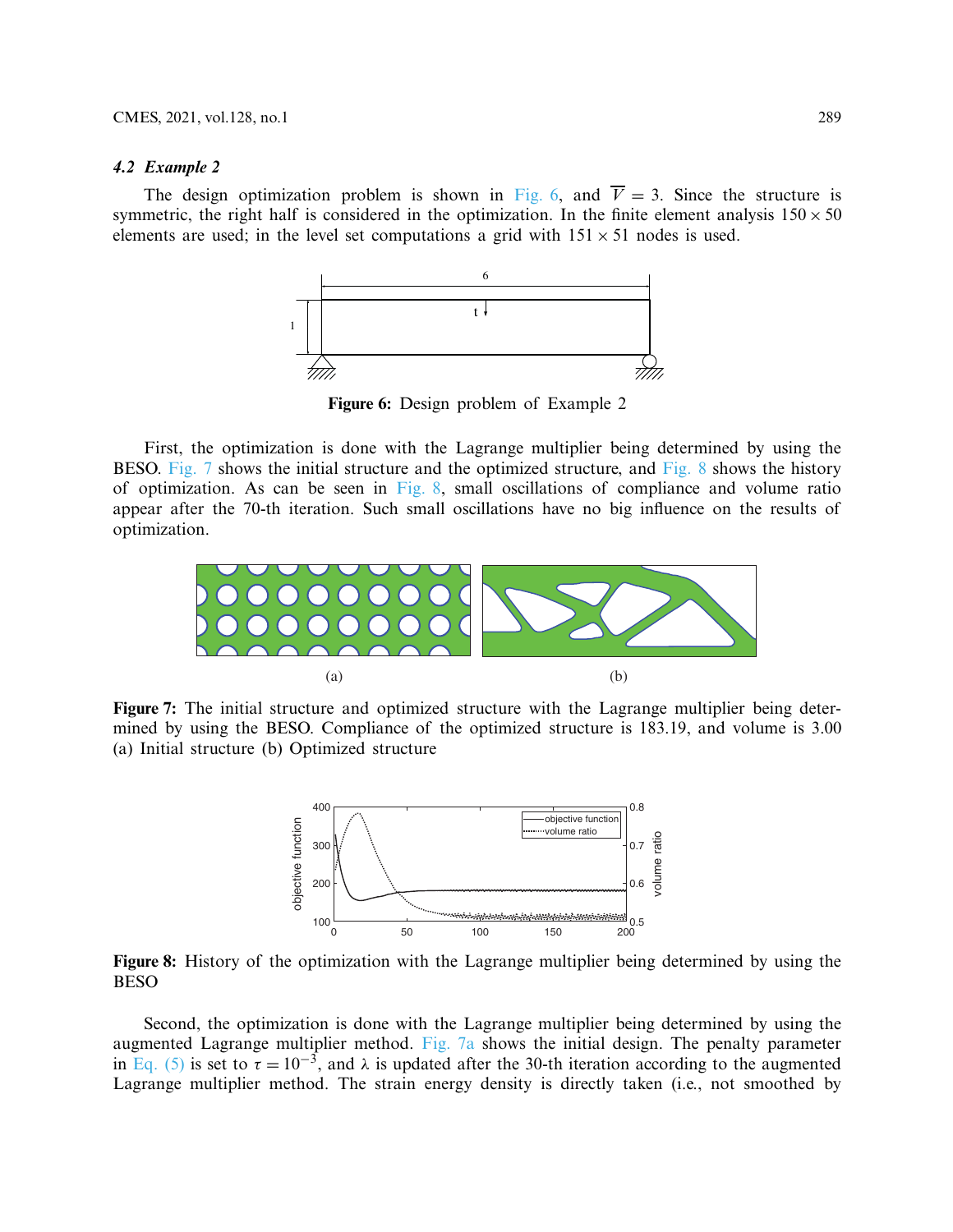#### *4.2 Example 2*

The design optimization problem is shown in [Fig. 6,](#page-6-0) and  $\overline{V} = 3$ . Since the structure is symmetric, the right half is considered in the optimization. In the finite element analysis  $150 \times 50$ elements are used; in the level set computations a grid with  $151 \times 51$  nodes is used.



<span id="page-6-0"></span>**Figure 6:** Design problem of Example 2

First, the optimization is done with the Lagrange multiplier being determined by using the BESO. [Fig. 7](#page-6-1) shows the initial structure and the optimized structure, and [Fig. 8](#page-6-2) shows the history of optimization. As can be seen in Fig.  $\delta$ , small oscillations of compliance and volume ratio appear after the 70-th iteration. Such small oscillations have no big influence on the results of optimization.



<span id="page-6-1"></span>**Figure 7:** The initial structure and optimized structure with the Lagrange multiplier being determined by using the BESO. Compliance of the optimized structure is 183.19, and volume is 3.00 (a) Initial structure (b) Optimized structure



<span id="page-6-2"></span>**Figure 8:** History of the optimization with the Lagrange multiplier being determined by using the BESO

Second, the optimization is done with the Lagrange multiplier being determined by using the augmented Lagrange multiplier method. [Fig. 7a](#page-6-1) shows the initial design. The penalty parameter in [Eq. \(5\)](#page-2-1) is set to  $\tau = 10^{-3}$ , and  $\lambda$  is updated after the 30-th iteration according to the augmented Lagrange multiplier method. The strain energy density is directly taken (i.e., not smoothed by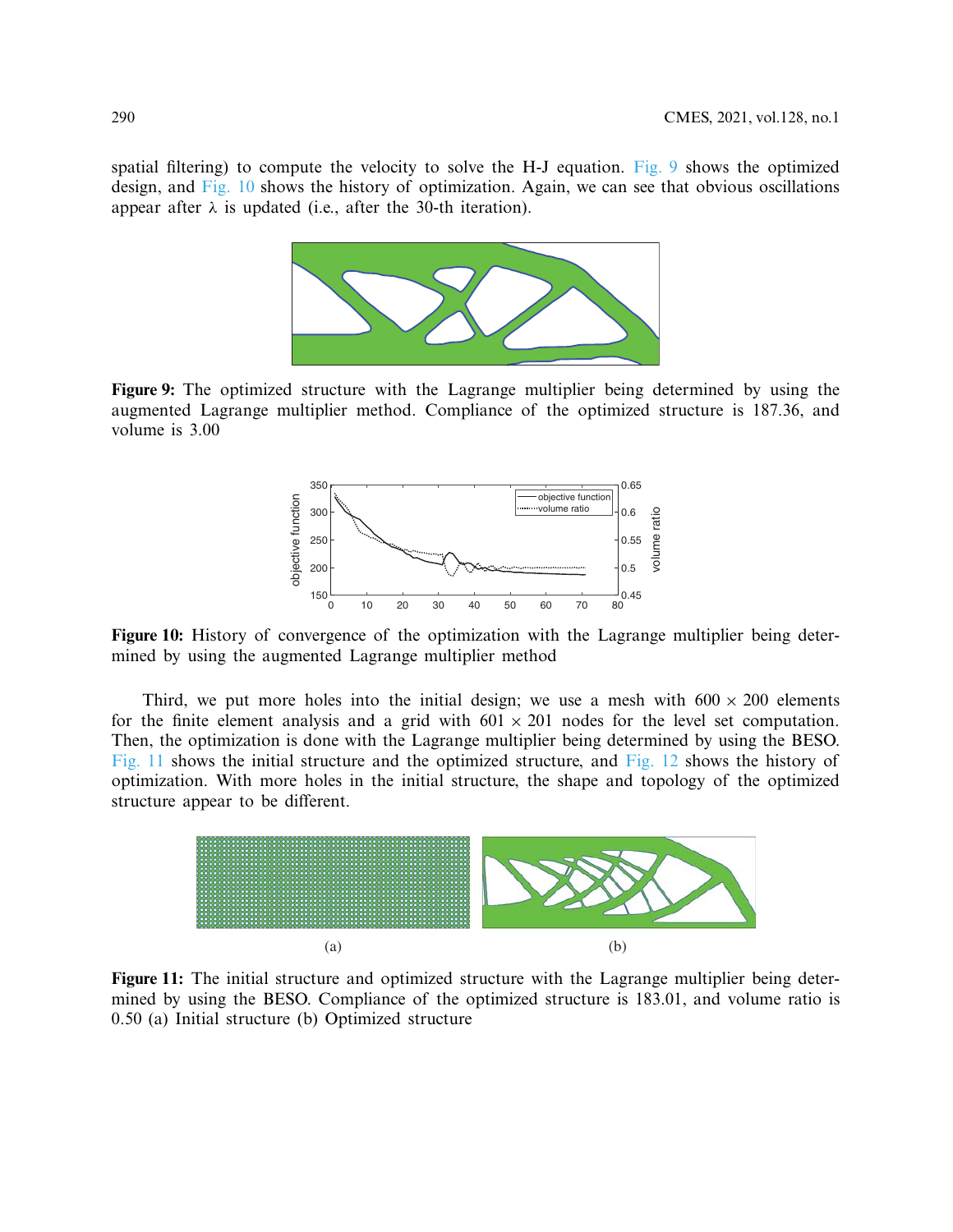spatial filtering) to compute the velocity to solve the H-J equation. [Fig. 9](#page-7-0) shows the optimized design, and [Fig. 10](#page-7-1) shows the history of optimization. Again, we can see that obvious oscillations appear after  $\lambda$  is updated (i.e., after the 30-th iteration).



**Figure 9:** The optimized structure with the Lagrange multiplier being determined by using the augmented Lagrange multiplier method. Compliance of the optimized structure is 187.36, and volume is 3.00

<span id="page-7-0"></span>

<span id="page-7-1"></span>**Figure 10:** History of convergence of the optimization with the Lagrange multiplier being determined by using the augmented Lagrange multiplier method

Third, we put more holes into the initial design; we use a mesh with  $600 \times 200$  elements for the finite element analysis and a grid with  $601 \times 201$  nodes for the level set computation. Then, the optimization is done with the Lagrange multiplier being determined by using the BESO. [Fig. 11](#page-7-2) shows the initial structure and the optimized structure, and [Fig. 12](#page-8-0) shows the history of optimization. With more holes in the initial structure, the shape and topology of the optimized structure appear to be different.



<span id="page-7-2"></span>**Figure 11:** The initial structure and optimized structure with the Lagrange multiplier being determined by using the BESO. Compliance of the optimized structure is 183.01, and volume ratio is 0.50 (a) Initial structure (b) Optimized structure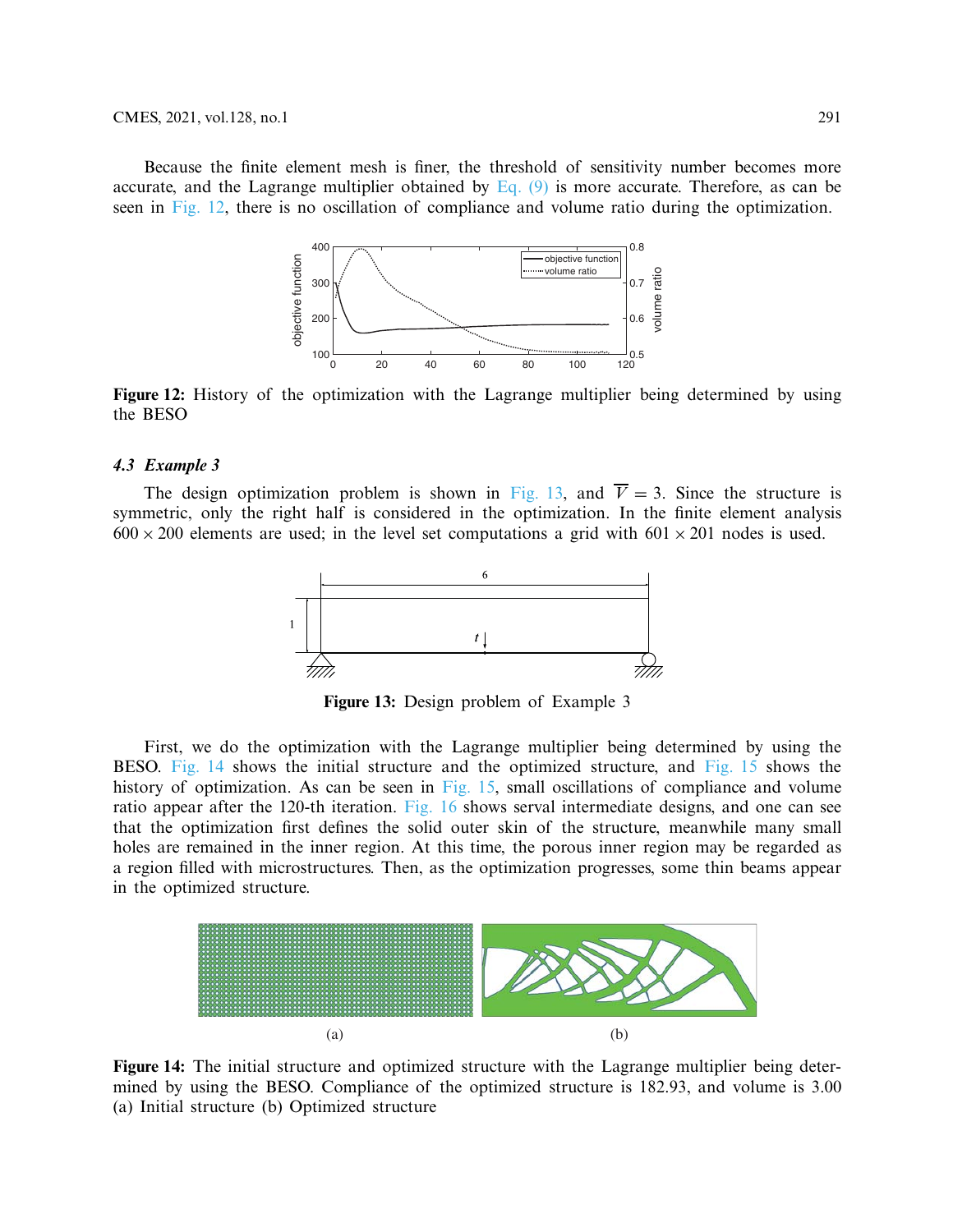Because the finite element mesh is finer, the threshold of sensitivity number becomes more accurate, and the Lagrange multiplier obtained by Eq.  $(9)$  is more accurate. Therefore, as can be seen in [Fig. 12,](#page-8-0) there is no oscillation of compliance and volume ratio during the optimization.



<span id="page-8-0"></span>**Figure 12:** History of the optimization with the Lagrange multiplier being determined by using the BESO

#### *4.3 Example 3*

The design optimization problem is shown in [Fig. 13,](#page-8-1) and  $\overline{V} = 3$ . Since the structure is symmetric, only the right half is considered in the optimization. In the finite element analysis  $600 \times 200$  elements are used; in the level set computations a grid with  $601 \times 201$  nodes is used.



<span id="page-8-1"></span>**Figure 13:** Design problem of Example 3

First, we do the optimization with the Lagrange multiplier being determined by using the BESO. [Fig. 14](#page-8-2) shows the initial structure and the optimized structure, and [Fig. 15](#page-9-0) shows the history of optimization. As can be seen in [Fig. 15,](#page-9-0) small oscillations of compliance and volume ratio appear after the 120-th iteration. [Fig. 16](#page-9-1) shows serval intermediate designs, and one can see that the optimization first defines the solid outer skin of the structure, meanwhile many small holes are remained in the inner region. At this time, the porous inner region may be regarded as a region filled with microstructures. Then, as the optimization progresses, some thin beams appear in the optimized structure.



<span id="page-8-2"></span>**Figure 14:** The initial structure and optimized structure with the Lagrange multiplier being determined by using the BESO. Compliance of the optimized structure is 182.93, and volume is 3.00 (a) Initial structure (b) Optimized structure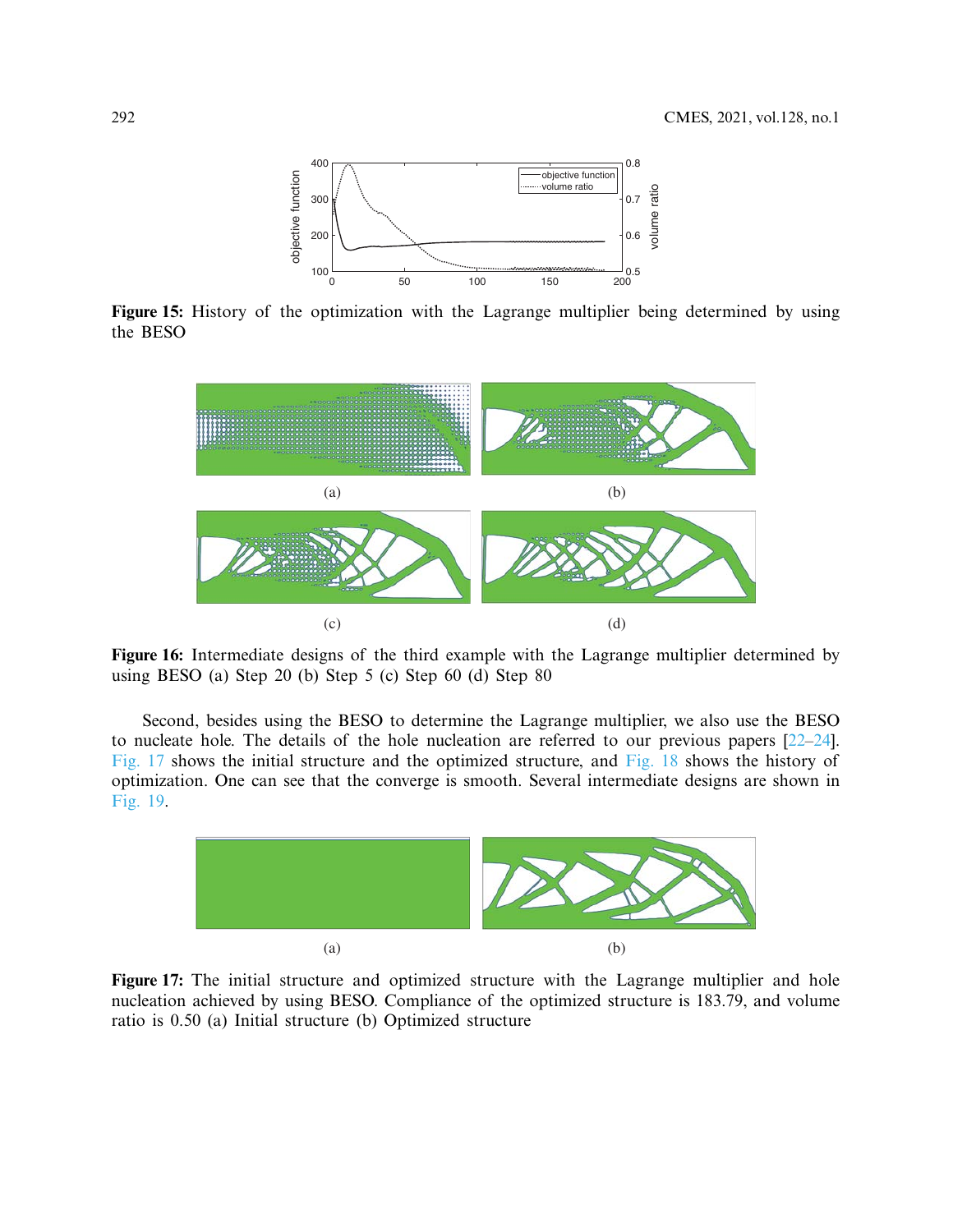

**Figure 15:** History of the optimization with the Lagrange multiplier being determined by using the BESO

<span id="page-9-0"></span>

<span id="page-9-1"></span>**Figure 16:** Intermediate designs of the third example with the Lagrange multiplier determined by using BESO (a) Step 20 (b) Step 5 (c) Step 60 (d) Step 80

Second, besides using the BESO to determine the Lagrange multiplier, we also use the BESO to nucleate hole. The details of the hole nucleation are referred to our previous papers [\[22](#page-12-1)[–24\]](#page-12-3). [Fig. 17](#page-9-2) shows the initial structure and the optimized structure, and [Fig. 18](#page-10-0) shows the history of optimization. One can see that the converge is smooth. Several intermediate designs are shown in [Fig. 19.](#page-10-1)



<span id="page-9-2"></span>**Figure 17:** The initial structure and optimized structure with the Lagrange multiplier and hole nucleation achieved by using BESO. Compliance of the optimized structure is 183.79, and volume ratio is 0.50 (a) Initial structure (b) Optimized structure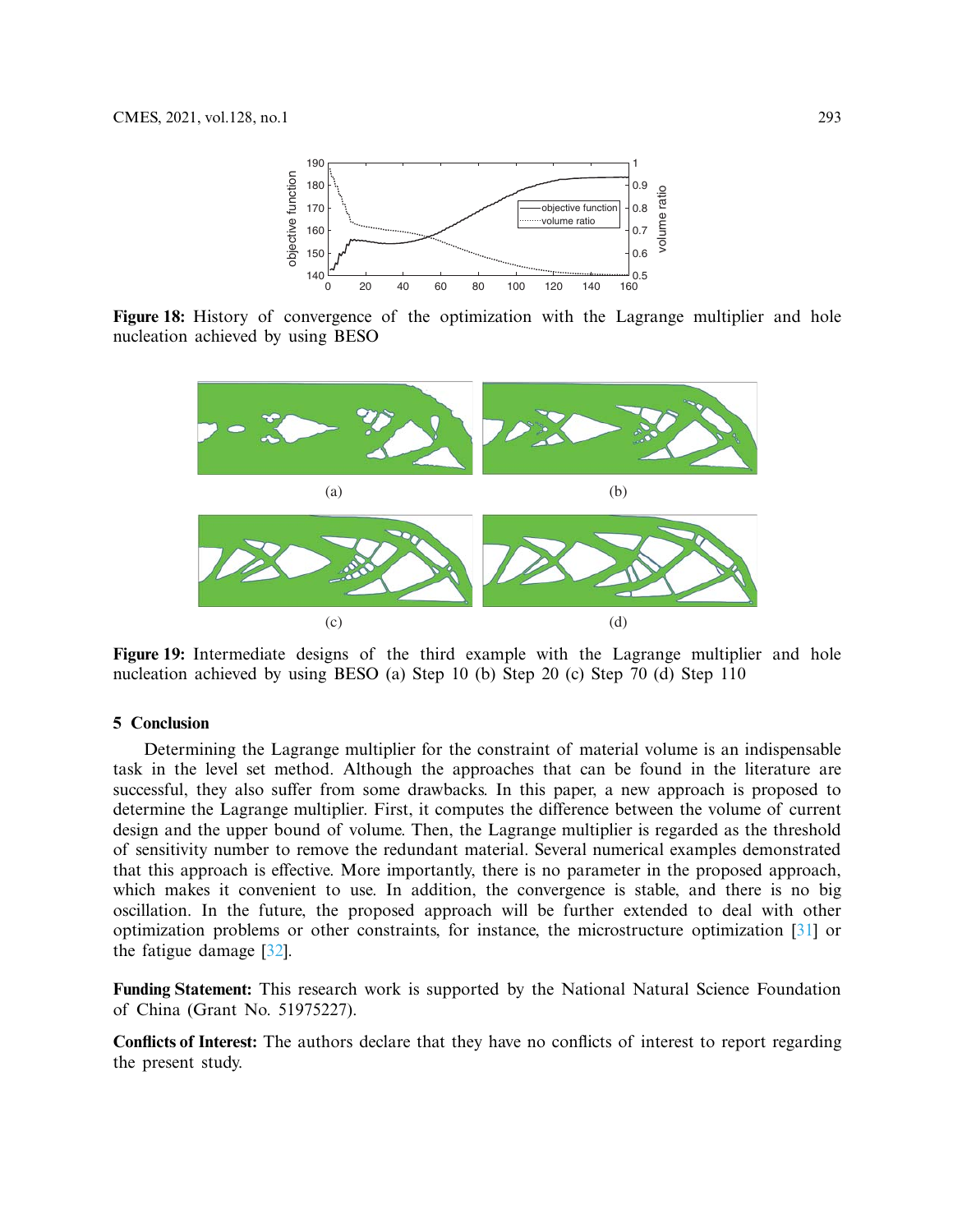

**Figure 18:** History of convergence of the optimization with the Lagrange multiplier and hole nucleation achieved by using BESO

<span id="page-10-0"></span>

<span id="page-10-1"></span>**Figure 19:** Intermediate designs of the third example with the Lagrange multiplier and hole nucleation achieved by using BESO (a) Step 10 (b) Step 20 (c) Step 70 (d) Step 110

## **5 Conclusion**

Determining the Lagrange multiplier for the constraint of material volume is an indispensable task in the level set method. Although the approaches that can be found in the literature are successful, they also suffer from some drawbacks. In this paper, a new approach is proposed to determine the Lagrange multiplier. First, it computes the difference between the volume of current design and the upper bound of volume. Then, the Lagrange multiplier is regarded as the threshold of sensitivity number to remove the redundant material. Several numerical examples demonstrated that this approach is effective. More importantly, there is no parameter in the proposed approach, which makes it convenient to use. In addition, the convergence is stable, and there is no big oscillation. In the future, the proposed approach will be further extended to deal with other optimization problems or other constraints, for instance, the microstructure optimization [\[31\]](#page-12-9) or the fatigue damage [\[32](#page-12-10)].

**Funding Statement:** This research work is supported by the National Natural Science Foundation of China (Grant No. 51975227).

**Conflicts of Interest:** The authors declare that they have no conflicts of interest to report regarding the present study.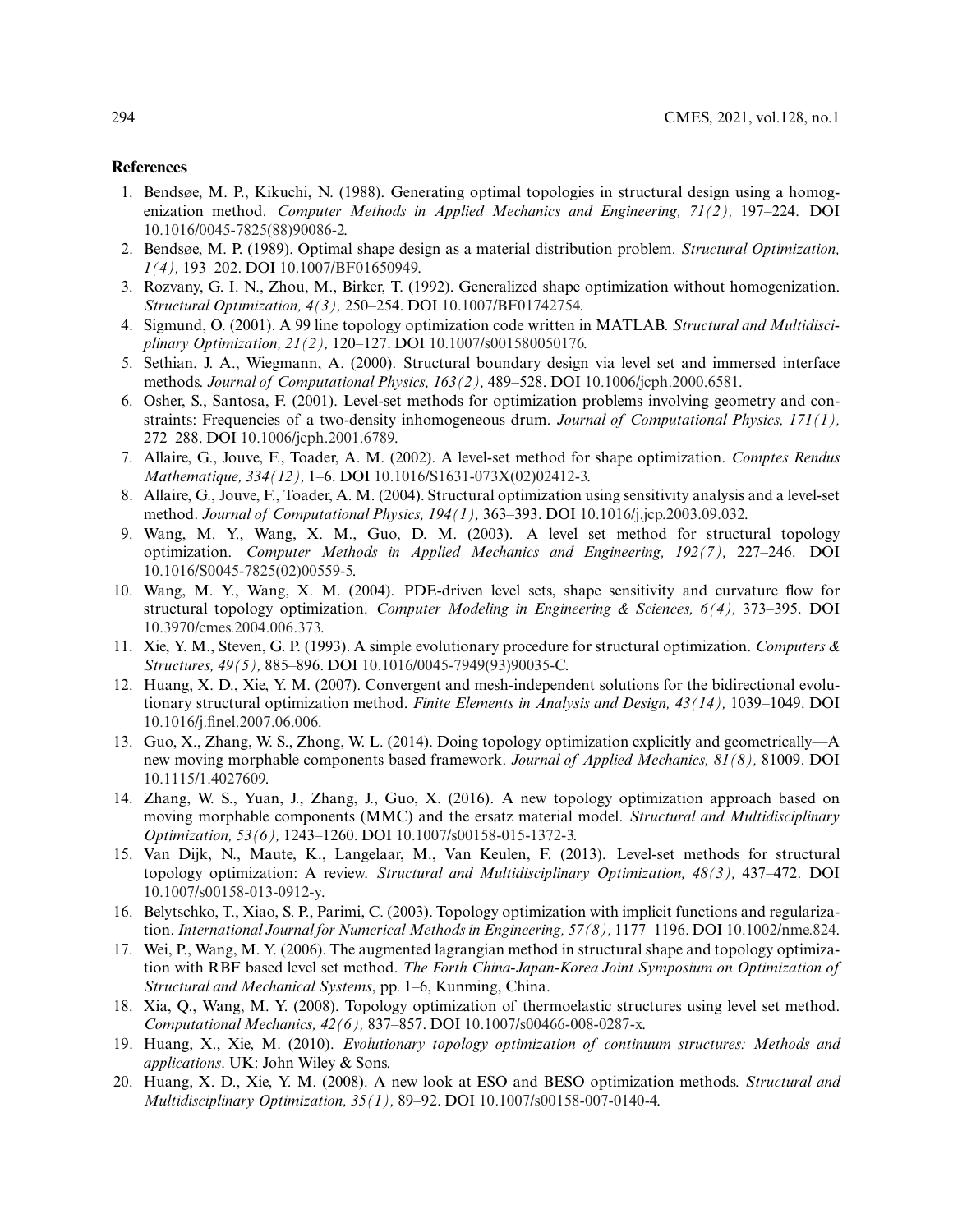#### **References**

- <span id="page-11-0"></span>1. Bendsøe, M. P., Kikuchi, N. (1988). Generating optimal topologies in structural design using a homogenization method. *Computer Methods in Applied Mechanics and Engineering, 71(2),* 197–224. DOI [10.1016/0045-7825\(88\)90086-2.](http://dx.doi.org/10.1016/0045-7825(88)90086-2)
- 2. Bendsøe, M. P. (1989). Optimal shape design as a material distribution problem. *Structural Optimization, 1(4),* 193–202. DOI [10.1007/BF01650949.](http://dx.doi.org/10.1007/BF01650949)
- 3. Rozvany, G. I. N., Zhou, M., Birker, T. (1992). Generalized shape optimization without homogenization. *Structural Optimization, 4(3),* 250–254. DOI [10.1007/BF01742754.](http://dx.doi.org/10.1007/BF01742754)
- 4. Sigmund, O. (2001). A 99 line topology optimization code written in MATLAB. *Structural and Multidisciplinary Optimization, 21(2),* 120–127. DOI [10.1007/s001580050176.](http://dx.doi.org/10.1007/s001580050176)
- <span id="page-11-2"></span>5. Sethian, J. A., Wiegmann, A. (2000). Structural boundary design via level set and immersed interface methods. *Journal of Computational Physics, 163(2),* 489–528. DOI [10.1006/jcph.2000.6581.](http://dx.doi.org/10.1006/jcph.2000.6581)
- 6. Osher, S., Santosa, F. (2001). Level-set methods for optimization problems involving geometry and constraints: Frequencies of a two-density inhomogeneous drum. *Journal of Computational Physics, 171(1),* 272–288. DOI [10.1006/jcph.2001.6789.](http://dx.doi.org/10.1006/jcph.2001.6789)
- 7. Allaire, G., Jouve, F., Toader, A. M. (2002). A level-set method for shape optimization. *Comptes Rendus Mathematique, 334(12),* 1–6. DOI [10.1016/S1631-073X\(02\)02412-3.](http://dx.doi.org/10.1016/S1631-073X(02)02412-3)
- <span id="page-11-5"></span>8. Allaire, G., Jouve, F., Toader, A. M. (2004). Structural optimization using sensitivity analysis and a level-set method. *Journal of Computational Physics, 194(1),* 363–393. DOI [10.1016/j.jcp.2003.09.032.](http://dx.doi.org/10.1016/j.jcp.2003.09.032)
- <span id="page-11-6"></span>9. Wang, M. Y., Wang, X. M., Guo, D. M. (2003). A level set method for structural topology optimization. *Computer Methods in Applied Mechanics and Engineering, 192(7),* 227–246. DOI [10.1016/S0045-7825\(02\)00559-5.](http://dx.doi.org/10.1016/S0045-7825(02)00559-5)
- <span id="page-11-3"></span>10. Wang, M. Y., Wang, X. M. (2004). PDE-driven level sets, shape sensitivity and curvature flow for structural topology optimization. *Computer Modeling in Engineering & Sciences, 6(4),* 373–395. DOI [10.3970/cmes.2004.006.373.](http://dx.doi.org/10.3970/cmes.2004.006.373)
- 11. Xie, Y. M., Steven, G. P. (1993). A simple evolutionary procedure for structural optimization. *Computers & Structures, 49(5),* 885–896. DOI [10.1016/0045-7949\(93\)90035-C.](http://dx.doi.org/10.1016/0045-7949(93)90035-C)
- <span id="page-11-9"></span>12. Huang, X. D., Xie, Y. M. (2007). Convergent and mesh-independent solutions for the bidirectional evolutionary structural optimization method. *Finite Elements in Analysis and Design, 43(14),* 1039–1049. DOI [10.1016/j.finel.2007.06.006.](http://dx.doi.org/10.1016/j.finel.2007.06.006)
- 13. Guo, X., Zhang, W. S., Zhong, W. L. (2014). Doing topology optimization explicitly and geometrically—A new moving morphable components based framework. *Journal of Applied Mechanics, 81(8),* 81009. DOI [10.1115/1.4027609.](http://dx.doi.org/10.1115/1.4027609)
- <span id="page-11-1"></span>14. Zhang, W. S., Yuan, J., Zhang, J., Guo, X. (2016). A new topology optimization approach based on moving morphable components (MMC) and the ersatz material model. *Structural and Multidisciplinary Optimization, 53(6),* 1243–1260. DOI [10.1007/s00158-015-1372-3.](http://dx.doi.org/10.1007/s00158-015-1372-3)
- <span id="page-11-4"></span>15. Van Dijk, N., Maute, K., Langelaar, M., Van Keulen, F. (2013). Level-set methods for structural topology optimization: A review. *Structural and Multidisciplinary Optimization, 48(3),* 437–472. DOI [10.1007/s00158-013-0912-y.](http://dx.doi.org/10.1007/s00158-013-0912-y)
- <span id="page-11-7"></span>16. Belytschko, T., Xiao, S. P., Parimi, C. (2003). Topology optimization with implicit functions and regularization. *International Journal for Numerical Methods in Engineering, 57(8),* 1177–1196. DOI [10.1002/nme.824.](http://dx.doi.org/10.1002/nme.824)
- 17. Wei, P., Wang, M. Y. (2006). The augmented lagrangian method in structural shape and topology optimization with RBF based level set method. *The Forth China-Japan-Korea Joint Symposium on Optimization of Structural and Mechanical Systems*, pp. 1–6, Kunming, China.
- <span id="page-11-8"></span>18. Xia, Q., Wang, M. Y. (2008). Topology optimization of thermoelastic structures using level set method. *Computational Mechanics, 42(6),* 837–857. DOI [10.1007/s00466-008-0287-x.](http://dx.doi.org/10.1007/s00466-008-0287-x)
- <span id="page-11-10"></span>19. Huang, X., Xie, M. (2010). *Evolutionary topology optimization of continuum structures: Methods and applications*. UK: John Wiley & Sons.
- 20. Huang, X. D., Xie, Y. M. (2008). A new look at ESO and BESO optimization methods. *Structural and Multidisciplinary Optimization, 35(1),* 89–92. DOI [10.1007/s00158-007-0140-4.](http://dx.doi.org/10.1007/s00158-007-0140-4)